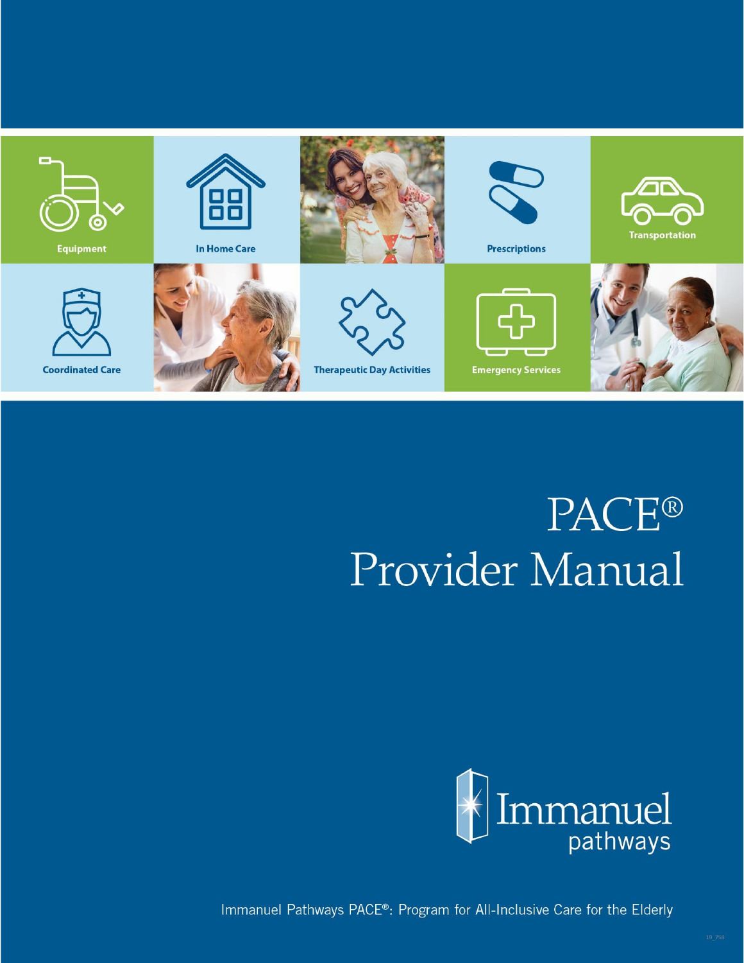

# **PACE®** Provider Manual



Immanuel Pathways PACE®: Program for All-Inclusive Care for the Elderly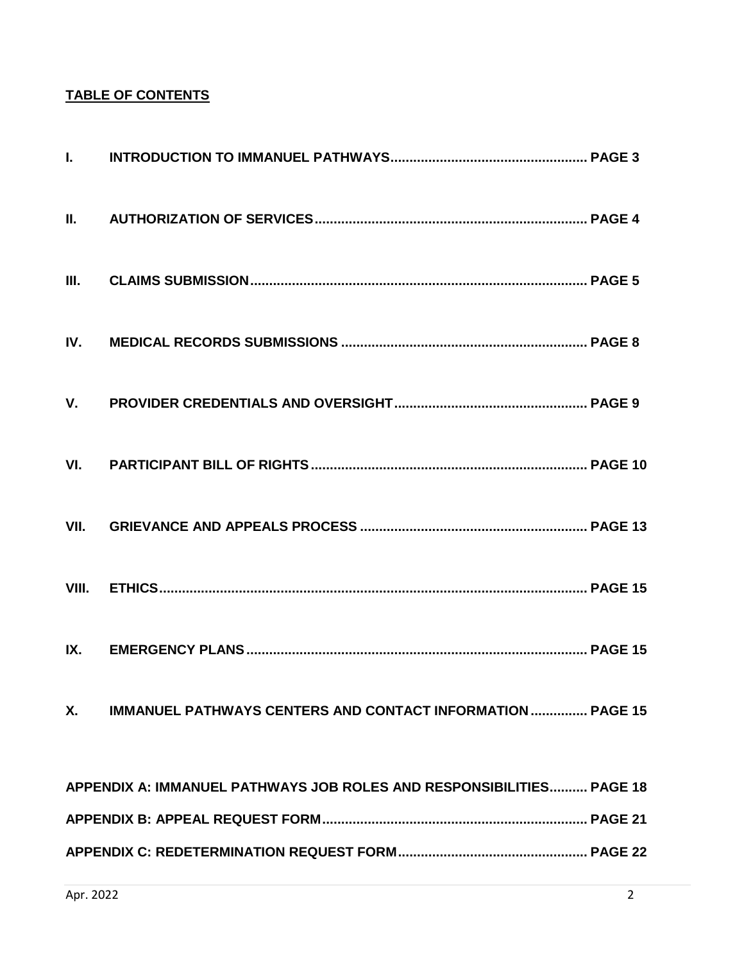# **TABLE OF CONTENTS**

| <b>X.</b> | <b>IMMANUEL PATHWAYS CENTERS AND CONTACT INFORMATION  PAGE 15</b>    |  |
|-----------|----------------------------------------------------------------------|--|
|           |                                                                      |  |
|           | APPENDIX A: IMMANUEL PATHWAYS JOB ROLES AND RESPONSIBILITIES PAGE 18 |  |
|           |                                                                      |  |
|           |                                                                      |  |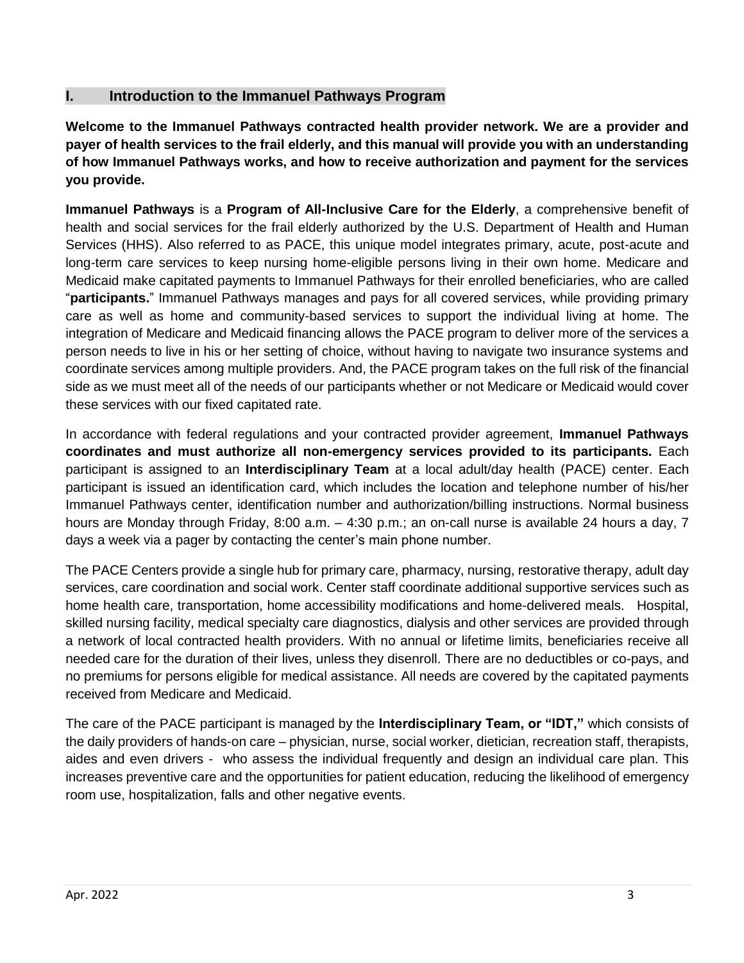# **I. Introduction to the Immanuel Pathways Program**

**Welcome to the Immanuel Pathways contracted health provider network. We are a provider and payer of health services to the frail elderly, and this manual will provide you with an understanding of how Immanuel Pathways works, and how to receive authorization and payment for the services you provide.** 

**Immanuel Pathways** is a **Program of All-Inclusive Care for the Elderly**, a comprehensive benefit of health and social services for the frail elderly authorized by the U.S. Department of Health and Human Services (HHS). Also referred to as PACE, this unique model integrates primary, acute, post-acute and long-term care services to keep nursing home-eligible persons living in their own home. Medicare and Medicaid make capitated payments to Immanuel Pathways for their enrolled beneficiaries, who are called "**participants.**" Immanuel Pathways manages and pays for all covered services, while providing primary care as well as home and community-based services to support the individual living at home. The integration of Medicare and Medicaid financing allows the PACE program to deliver more of the services a person needs to live in his or her setting of choice, without having to navigate two insurance systems and coordinate services among multiple providers. And, the PACE program takes on the full risk of the financial side as we must meet all of the needs of our participants whether or not Medicare or Medicaid would cover these services with our fixed capitated rate.

In accordance with federal regulations and your contracted provider agreement, **Immanuel Pathways coordinates and must authorize all non-emergency services provided to its participants.** Each participant is assigned to an **Interdisciplinary Team** at a local adult/day health (PACE) center. Each participant is issued an identification card, which includes the location and telephone number of his/her Immanuel Pathways center, identification number and authorization/billing instructions. Normal business hours are Monday through Friday, 8:00 a.m. – 4:30 p.m.; an on-call nurse is available 24 hours a day, 7 days a week via a pager by contacting the center's main phone number.

The PACE Centers provide a single hub for primary care, pharmacy, nursing, restorative therapy, adult day services, care coordination and social work. Center staff coordinate additional supportive services such as home health care, transportation, home accessibility modifications and home-delivered meals. Hospital, skilled nursing facility, medical specialty care diagnostics, dialysis and other services are provided through a network of local contracted health providers. With no annual or lifetime limits, beneficiaries receive all needed care for the duration of their lives, unless they disenroll. There are no deductibles or co-pays, and no premiums for persons eligible for medical assistance. All needs are covered by the capitated payments received from Medicare and Medicaid.

The care of the PACE participant is managed by the **Interdisciplinary Team, or "IDT,"** which consists of the daily providers of hands-on care – physician, nurse, social worker, dietician, recreation staff, therapists, aides and even drivers - who assess the individual frequently and design an individual care plan. This increases preventive care and the opportunities for patient education, reducing the likelihood of emergency room use, hospitalization, falls and other negative events.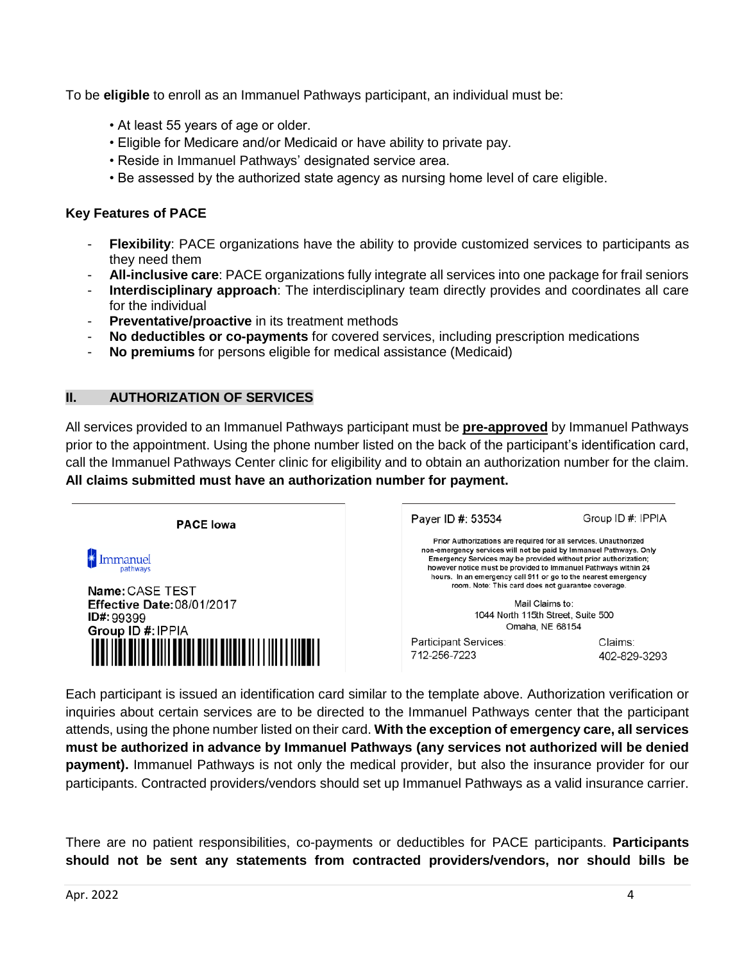To be **eligible** to enroll as an Immanuel Pathways participant, an individual must be:

- At least 55 years of age or older.
- Eligible for Medicare and/or Medicaid or have ability to private pay.
- Reside in Immanuel Pathways' designated service area.
- Be assessed by the authorized state agency as nursing home level of care eligible.

### **Key Features of PACE**

- **Flexibility**: PACE organizations have the ability to provide customized services to participants as they need them
- **All-inclusive care**: PACE organizations fully integrate all services into one package for frail seniors
- **Interdisciplinary approach**: The interdisciplinary team directly provides and coordinates all care for the individual
- **Preventative/proactive** in its treatment methods
- **No deductibles or co-payments** for covered services, including prescription medications
- **No premiums** for persons eligible for medical assistance (Medicaid)

#### **II. AUTHORIZATION OF SERVICES**

All services provided to an Immanuel Pathways participant must be **pre-approved** by Immanuel Pathways prior to the appointment. Using the phone number listed on the back of the participant's identification card, call the Immanuel Pathways Center clinic for eligibility and to obtain an authorization number for the claim. **All claims submitted must have an authorization number for payment.**

| <b>PACE lowa</b>                                                                       | Payer ID #: 53534                                                                                                                                                                                                                                                                                                                                                                                                                                                               | Group ID #: IPPIA       |
|----------------------------------------------------------------------------------------|---------------------------------------------------------------------------------------------------------------------------------------------------------------------------------------------------------------------------------------------------------------------------------------------------------------------------------------------------------------------------------------------------------------------------------------------------------------------------------|-------------------------|
| <b>Immanuel</b><br>Name: CASE TEST<br><b>Effective Date: 08/01/2017</b><br>ID#: 99399  | Prior Authorizations are required for all services. Unauthorized<br>non-emergency services will not be paid by Immanuel Pathways. Only<br>Emergency Services may be provided without prior authorization;<br>however notice must be provided to Immanuel Pathways within 24<br>hours. In an emergency call 911 or go to the nearest emergency<br>room. Note: This card does not quarantee coverage.<br>Mail Claims to:<br>1044 North 115th Street, Suite 500<br>Omaha, NE 68154 |                         |
| Group ID #: IPPIA<br><u>ai iini bilin billi boldi bilin bildin li i lilli lilmoi '</u> | Participant Services:<br>712-256-7223                                                                                                                                                                                                                                                                                                                                                                                                                                           | Claims:<br>402-829-3293 |

Each participant is issued an identification card similar to the template above. Authorization verification or inquiries about certain services are to be directed to the Immanuel Pathways center that the participant attends, using the phone number listed on their card. **With the exception of emergency care, all services must be authorized in advance by Immanuel Pathways (any services not authorized will be denied payment).** Immanuel Pathways is not only the medical provider, but also the insurance provider for our participants. Contracted providers/vendors should set up Immanuel Pathways as a valid insurance carrier.

There are no patient responsibilities, co-payments or deductibles for PACE participants. **Participants should not be sent any statements from contracted providers/vendors, nor should bills be**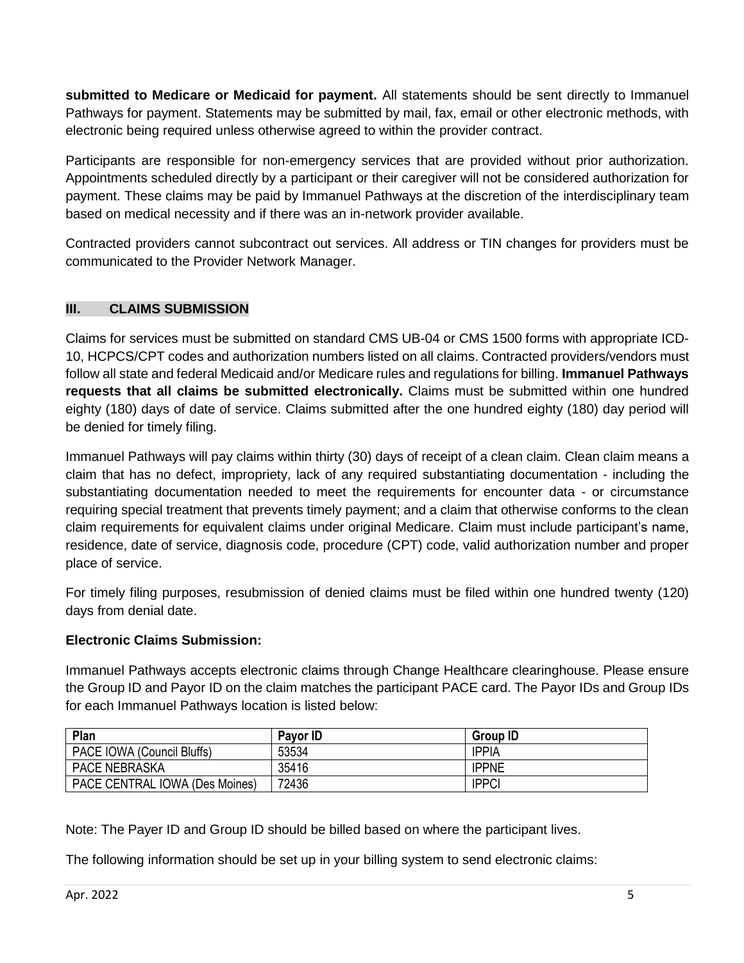**submitted to Medicare or Medicaid for payment.** All statements should be sent directly to Immanuel Pathways for payment. Statements may be submitted by mail, fax, email or other electronic methods, with electronic being required unless otherwise agreed to within the provider contract.

Participants are responsible for non-emergency services that are provided without prior authorization. Appointments scheduled directly by a participant or their caregiver will not be considered authorization for payment. These claims may be paid by Immanuel Pathways at the discretion of the interdisciplinary team based on medical necessity and if there was an in-network provider available.

Contracted providers cannot subcontract out services. All address or TIN changes for providers must be communicated to the Provider Network Manager.

# **III. CLAIMS SUBMISSION**

Claims for services must be submitted on standard CMS UB-04 or CMS 1500 forms with appropriate ICD-10, HCPCS/CPT codes and authorization numbers listed on all claims. Contracted providers/vendors must follow all state and federal Medicaid and/or Medicare rules and regulations for billing. **Immanuel Pathways requests that all claims be submitted electronically.** Claims must be submitted within one hundred eighty (180) days of date of service. Claims submitted after the one hundred eighty (180) day period will be denied for timely filing.

Immanuel Pathways will pay claims within thirty (30) days of receipt of a clean claim. Clean claim means a claim that has no defect, impropriety, lack of any required substantiating documentation - including the substantiating documentation needed to meet the requirements for encounter data - or circumstance requiring special treatment that prevents timely payment; and a claim that otherwise conforms to the clean claim requirements for equivalent claims under original Medicare. Claim must include participant's name, residence, date of service, diagnosis code, procedure (CPT) code, valid authorization number and proper place of service.

For timely filing purposes, resubmission of denied claims must be filed within one hundred twenty (120) days from denial date.

# **Electronic Claims Submission:**

Immanuel Pathways accepts electronic claims through Change Healthcare clearinghouse. Please ensure the Group ID and Payor ID on the claim matches the participant PACE card. The Payor IDs and Group IDs for each Immanuel Pathways location is listed below:

| Plan                           | Payor ID | <b>Group ID</b> |
|--------------------------------|----------|-----------------|
| PACE IOWA (Council Bluffs)     | 53534    | <b>IPPIA</b>    |
| <b>PACE NEBRASKA</b>           | 35416    | <b>IPPNE</b>    |
| PACE CENTRAL IOWA (Des Moines) | 72436    | <b>IPPCI</b>    |

Note: The Payer ID and Group ID should be billed based on where the participant lives.

The following information should be set up in your billing system to send electronic claims: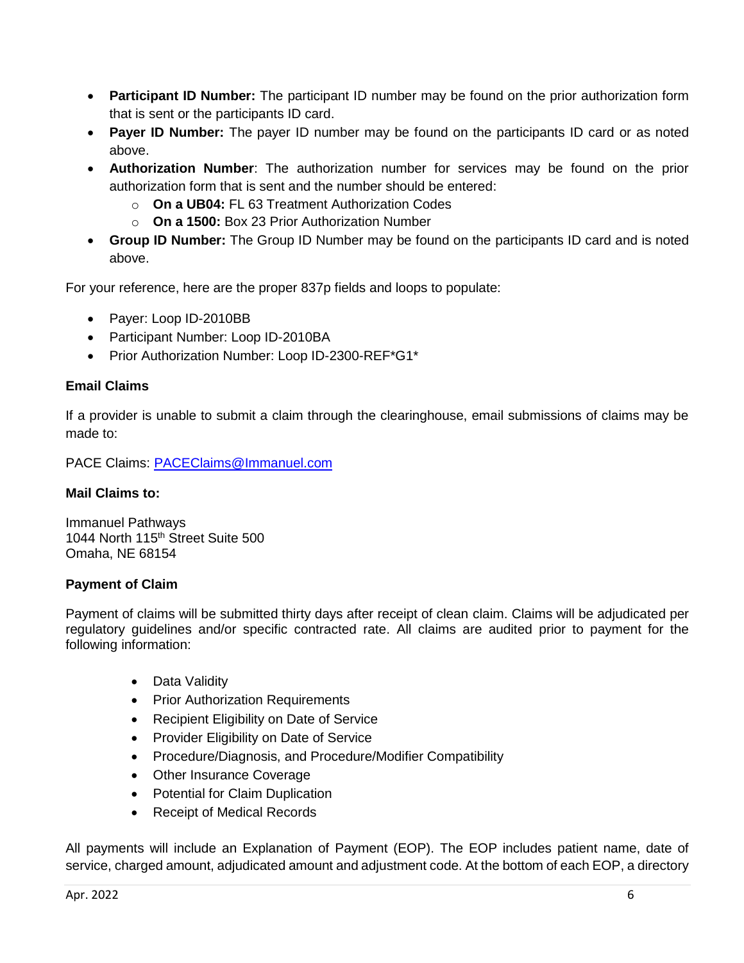- **Participant ID Number:** The participant ID number may be found on the prior authorization form that is sent or the participants ID card.
- **Payer ID Number:** The payer ID number may be found on the participants ID card or as noted above.
- **Authorization Number**: The authorization number for services may be found on the prior authorization form that is sent and the number should be entered:
	- o **On a UB04:** FL 63 Treatment Authorization Codes
	- o **On a 1500:** Box 23 Prior Authorization Number
- **Group ID Number:** The Group ID Number may be found on the participants ID card and is noted above.

For your reference, here are the proper 837p fields and loops to populate:

- Payer: Loop ID-2010BB
- Participant Number: Loop ID-2010BA
- Prior Authorization Number: Loop ID-2300-REF\*G1\*

# **Email Claims**

If a provider is unable to submit a claim through the clearinghouse, email submissions of claims may be made to:

PACE Claims: [PACEClaims@Immanuel.com](mailto:PACEClaims@Immanuel.com)

## **Mail Claims to:**

Immanuel Pathways 1044 North 115th Street Suite 500 Omaha, NE 68154

## **Payment of Claim**

Payment of claims will be submitted thirty days after receipt of clean claim. Claims will be adjudicated per regulatory guidelines and/or specific contracted rate. All claims are audited prior to payment for the following information:

- Data Validity
- Prior Authorization Requirements
- Recipient Eligibility on Date of Service
- Provider Eligibility on Date of Service
- Procedure/Diagnosis, and Procedure/Modifier Compatibility
- Other Insurance Coverage
- Potential for Claim Duplication
- Receipt of Medical Records

All payments will include an Explanation of Payment (EOP). The EOP includes patient name, date of service, charged amount, adjudicated amount and adjustment code. At the bottom of each EOP, a directory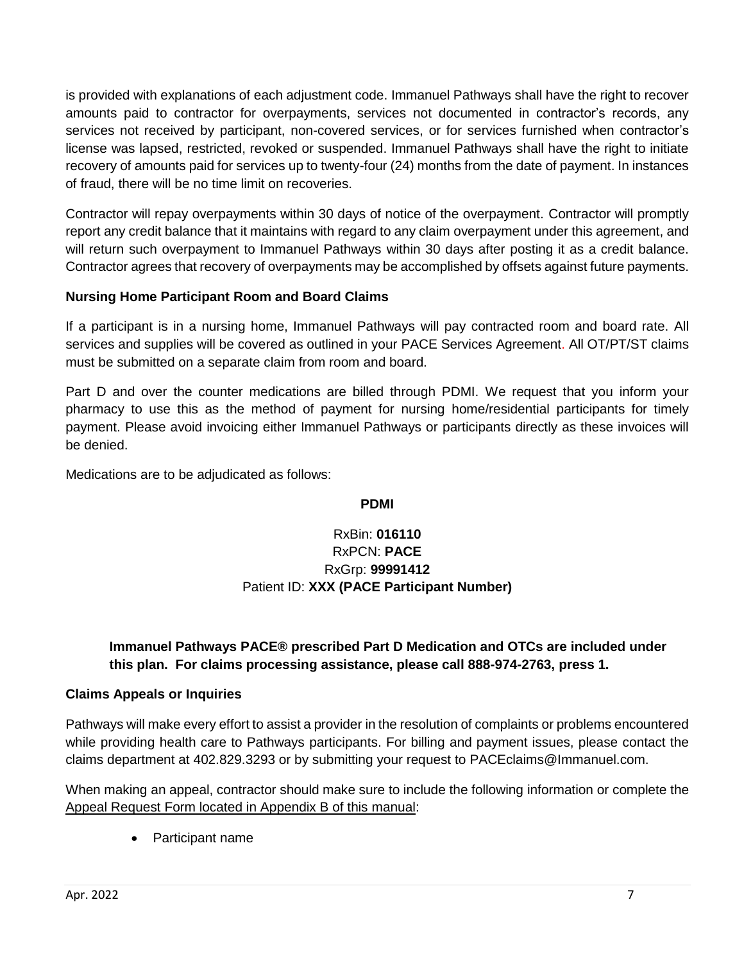is provided with explanations of each adjustment code. Immanuel Pathways shall have the right to recover amounts paid to contractor for overpayments, services not documented in contractor's records, any services not received by participant, non-covered services, or for services furnished when contractor's license was lapsed, restricted, revoked or suspended. Immanuel Pathways shall have the right to initiate recovery of amounts paid for services up to twenty-four (24) months from the date of payment. In instances of fraud, there will be no time limit on recoveries.

Contractor will repay overpayments within 30 days of notice of the overpayment. Contractor will promptly report any credit balance that it maintains with regard to any claim overpayment under this agreement, and will return such overpayment to Immanuel Pathways within 30 days after posting it as a credit balance. Contractor agrees that recovery of overpayments may be accomplished by offsets against future payments.

# **Nursing Home Participant Room and Board Claims**

If a participant is in a nursing home, Immanuel Pathways will pay contracted room and board rate. All services and supplies will be covered as outlined in your PACE Services Agreement. All OT/PT/ST claims must be submitted on a separate claim from room and board.

Part D and over the counter medications are billed through PDMI. We request that you inform your pharmacy to use this as the method of payment for nursing home/residential participants for timely payment. Please avoid invoicing either Immanuel Pathways or participants directly as these invoices will be denied.

Medications are to be adjudicated as follows:

#### **PDMI**

# RxBin: **016110** RxPCN: **PACE** RxGrp: **99991412** Patient ID: **XXX (PACE Participant Number)**

# **Immanuel Pathways PACE® prescribed Part D Medication and OTCs are included under this plan. For claims processing assistance, please call 888-974-2763, press 1.**

## **Claims Appeals or Inquiries**

Pathways will make every effort to assist a provider in the resolution of complaints or problems encountered while providing health care to Pathways participants. For billing and payment issues, please contact the claims department at 402.829.3293 or by submitting your request to PACEclaims@Immanuel.com.

When making an appeal, contractor should make sure to include the following information or complete the Appeal Request Form located in Appendix B of this manual:

• Participant name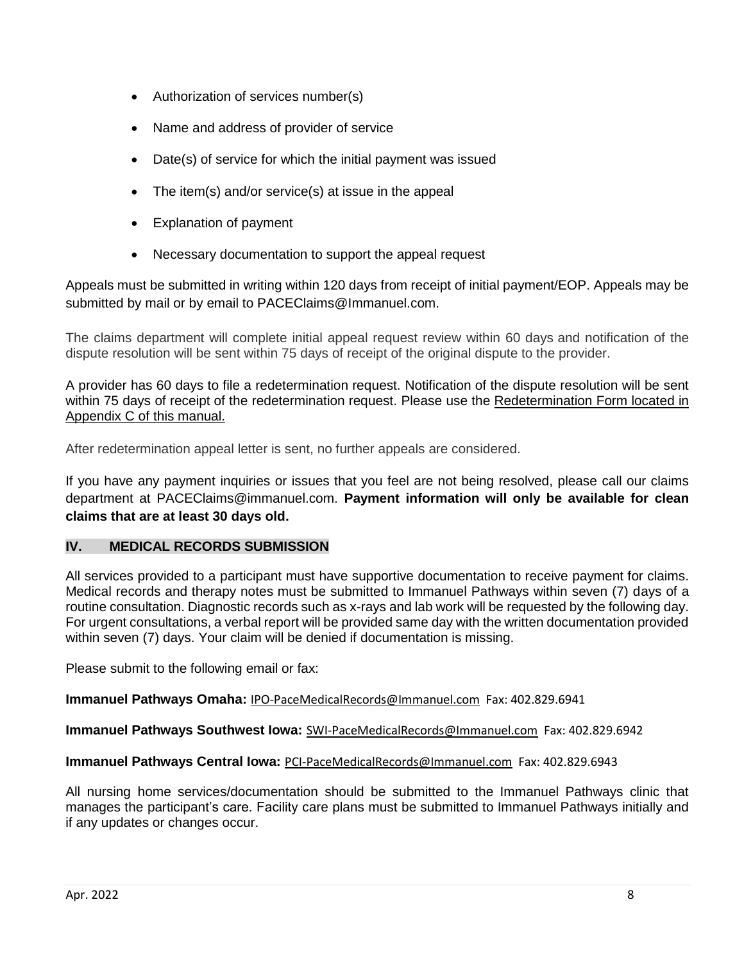- Authorization of services number(s)
- Name and address of provider of service
- Date(s) of service for which the initial payment was issued
- The item(s) and/or service(s) at issue in the appeal
- Explanation of payment
- Necessary documentation to support the appeal request

Appeals must be submitted in writing within 120 days from receipt of initial payment/EOP. Appeals may be submitted by mail or by email to PACEClaims@Immanuel.com.

The claims department will complete initial appeal request review within 60 days and notification of the dispute resolution will be sent within 75 days of receipt of the original dispute to the provider.

A provider has 60 days to file a redetermination request. Notification of the dispute resolution will be sent within 75 days of receipt of the redetermination request. Please use the Redetermination Form located in Appendix C of this manual.

After redetermination appeal letter is sent, no further appeals are considered.

If you have any payment inquiries or issues that you feel are not being resolved, please call our claims department at PACEClaims@immanuel.com. **Payment information will only be available for clean claims that are at least 30 days old.**

## **IV. MEDICAL RECORDS SUBMISSION**

All services provided to a participant must have supportive documentation to receive payment for claims. Medical records and therapy notes must be submitted to Immanuel Pathways within seven (7) days of a routine consultation. Diagnostic records such as x-rays and lab work will be requested by the following day. For urgent consultations, a verbal report will be provided same day with the written documentation provided within seven (7) days. Your claim will be denied if documentation is missing.

Please submit to the following email or fax:

**Immanuel Pathways Omaha:** [IPO-PaceMedicalRecords@Immanuel.com](mailto:IPO-PaceMedicalRecords@Immanuel.com) Fax: 402.829.6941

**Immanuel Pathways Southwest Iowa:** [SWI-PaceMedicalRecords@Immanuel.com](mailto:SWI-PaceMedicalRecords@Immanuel.com) Fax: 402.829.6942

#### **Immanuel Pathways Central Iowa:** [PCI-PaceMedicalRecords@Immanuel.com](mailto:PCI-PaceMedicalRecords@Immanuel.com) Fax: 402.829.6943

All nursing home services/documentation should be submitted to the Immanuel Pathways clinic that manages the participant's care. Facility care plans must be submitted to Immanuel Pathways initially and if any updates or changes occur.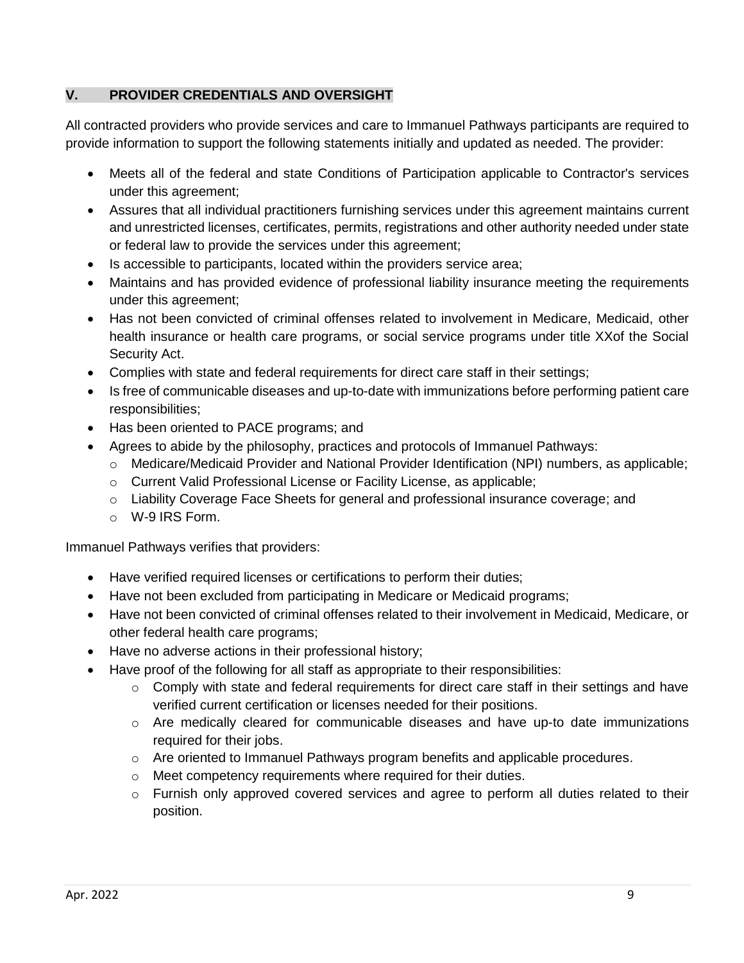## **V. PROVIDER CREDENTIALS AND OVERSIGHT**

All contracted providers who provide services and care to Immanuel Pathways participants are required to provide information to support the following statements initially and updated as needed. The provider:

- Meets all of the federal and state Conditions of Participation applicable to Contractor's services under this agreement;
- Assures that all individual practitioners furnishing services under this agreement maintains current and unrestricted licenses, certificates, permits, registrations and other authority needed under state or federal law to provide the services under this agreement;
- Is accessible to participants, located within the providers service area;
- Maintains and has provided evidence of professional liability insurance meeting the requirements under this agreement;
- Has not been convicted of criminal offenses related to involvement in Medicare, Medicaid, other health insurance or health care programs, or social service programs under title XXof the Social Security Act.
- Complies with state and federal requirements for direct care staff in their settings;
- Is free of communicable diseases and up-to-date with immunizations before performing patient care responsibilities;
- Has been oriented to PACE programs; and
- Agrees to abide by the philosophy, practices and protocols of Immanuel Pathways:
	- o Medicare/Medicaid Provider and National Provider Identification (NPI) numbers, as applicable;
	- o Current Valid Professional License or Facility License, as applicable;
	- o Liability Coverage Face Sheets for general and professional insurance coverage; and
	- o W-9 IRS Form.

Immanuel Pathways verifies that providers:

- Have verified required licenses or certifications to perform their duties;
- Have not been excluded from participating in Medicare or Medicaid programs;
- Have not been convicted of criminal offenses related to their involvement in Medicaid, Medicare, or other federal health care programs;
- Have no adverse actions in their professional history;
- Have proof of the following for all staff as appropriate to their responsibilities:
	- $\circ$  Comply with state and federal requirements for direct care staff in their settings and have verified current certification or licenses needed for their positions.
	- $\circ$  Are medically cleared for communicable diseases and have up-to date immunizations required for their jobs.
	- $\circ$  Are oriented to Immanuel Pathways program benefits and applicable procedures.
	- o Meet competency requirements where required for their duties.
	- $\circ$  Furnish only approved covered services and agree to perform all duties related to their position.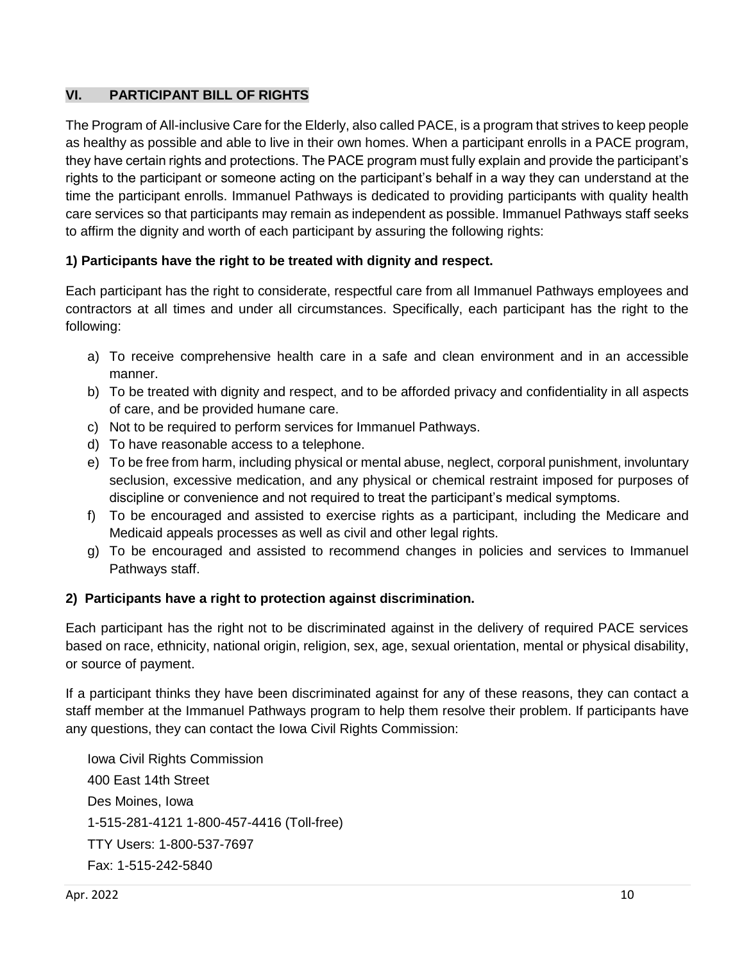## **VI. PARTICIPANT BILL OF RIGHTS**

The Program of All-inclusive Care for the Elderly, also called PACE, is a program that strives to keep people as healthy as possible and able to live in their own homes. When a participant enrolls in a PACE program, they have certain rights and protections. The PACE program must fully explain and provide the participant's rights to the participant or someone acting on the participant's behalf in a way they can understand at the time the participant enrolls. Immanuel Pathways is dedicated to providing participants with quality health care services so that participants may remain as independent as possible. Immanuel Pathways staff seeks to affirm the dignity and worth of each participant by assuring the following rights:

## **1) Participants have the right to be treated with dignity and respect.**

Each participant has the right to considerate, respectful care from all Immanuel Pathways employees and contractors at all times and under all circumstances. Specifically, each participant has the right to the following:

- a) To receive comprehensive health care in a safe and clean environment and in an accessible manner.
- b) To be treated with dignity and respect, and to be afforded privacy and confidentiality in all aspects of care, and be provided humane care.
- c) Not to be required to perform services for Immanuel Pathways.
- d) To have reasonable access to a telephone.
- e) To be free from harm, including physical or mental abuse, neglect, corporal punishment, involuntary seclusion, excessive medication, and any physical or chemical restraint imposed for purposes of discipline or convenience and not required to treat the participant's medical symptoms.
- f) To be encouraged and assisted to exercise rights as a participant, including the Medicare and Medicaid appeals processes as well as civil and other legal rights.
- g) To be encouraged and assisted to recommend changes in policies and services to Immanuel Pathways staff.

#### **2) Participants have a right to protection against discrimination.**

Each participant has the right not to be discriminated against in the delivery of required PACE services based on race, ethnicity, national origin, religion, sex, age, sexual orientation, mental or physical disability, or source of payment.

If a participant thinks they have been discriminated against for any of these reasons, they can contact a staff member at the Immanuel Pathways program to help them resolve their problem. If participants have any questions, they can contact the Iowa Civil Rights Commission:

Iowa Civil Rights Commission 400 East 14th Street Des Moines, Iowa 1-515-281-4121 1-800-457-4416 (Toll-free) TTY Users: 1-800-537-7697 Fax: 1-515-242-5840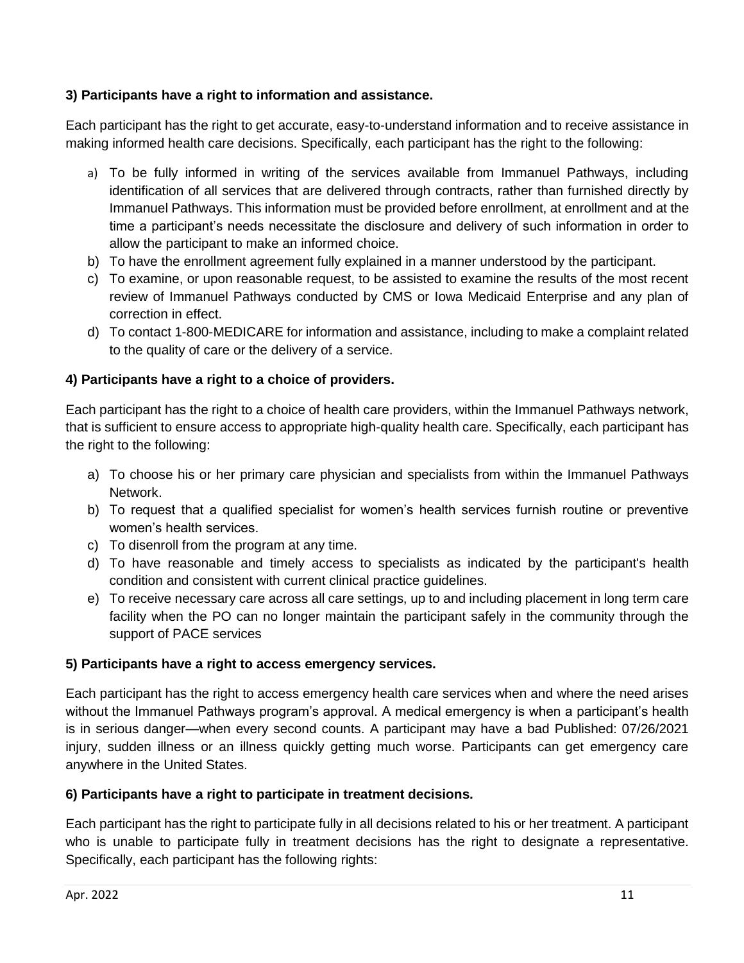# **3) Participants have a right to information and assistance.**

Each participant has the right to get accurate, easy-to-understand information and to receive assistance in making informed health care decisions. Specifically, each participant has the right to the following:

- a) To be fully informed in writing of the services available from Immanuel Pathways, including identification of all services that are delivered through contracts, rather than furnished directly by Immanuel Pathways. This information must be provided before enrollment, at enrollment and at the time a participant's needs necessitate the disclosure and delivery of such information in order to allow the participant to make an informed choice.
- b) To have the enrollment agreement fully explained in a manner understood by the participant.
- c) To examine, or upon reasonable request, to be assisted to examine the results of the most recent review of Immanuel Pathways conducted by CMS or Iowa Medicaid Enterprise and any plan of correction in effect.
- d) To contact 1-800-MEDICARE for information and assistance, including to make a complaint related to the quality of care or the delivery of a service.

# **4) Participants have a right to a choice of providers.**

Each participant has the right to a choice of health care providers, within the Immanuel Pathways network, that is sufficient to ensure access to appropriate high-quality health care. Specifically, each participant has the right to the following:

- a) To choose his or her primary care physician and specialists from within the Immanuel Pathways Network.
- b) To request that a qualified specialist for women's health services furnish routine or preventive women's health services.
- c) To disenroll from the program at any time.
- d) To have reasonable and timely access to specialists as indicated by the participant's health condition and consistent with current clinical practice guidelines.
- e) To receive necessary care across all care settings, up to and including placement in long term care facility when the PO can no longer maintain the participant safely in the community through the support of PACE services

## **5) Participants have a right to access emergency services.**

Each participant has the right to access emergency health care services when and where the need arises without the Immanuel Pathways program's approval. A medical emergency is when a participant's health is in serious danger—when every second counts. A participant may have a bad Published: 07/26/2021 injury, sudden illness or an illness quickly getting much worse. Participants can get emergency care anywhere in the United States.

## **6) Participants have a right to participate in treatment decisions.**

Each participant has the right to participate fully in all decisions related to his or her treatment. A participant who is unable to participate fully in treatment decisions has the right to designate a representative. Specifically, each participant has the following rights: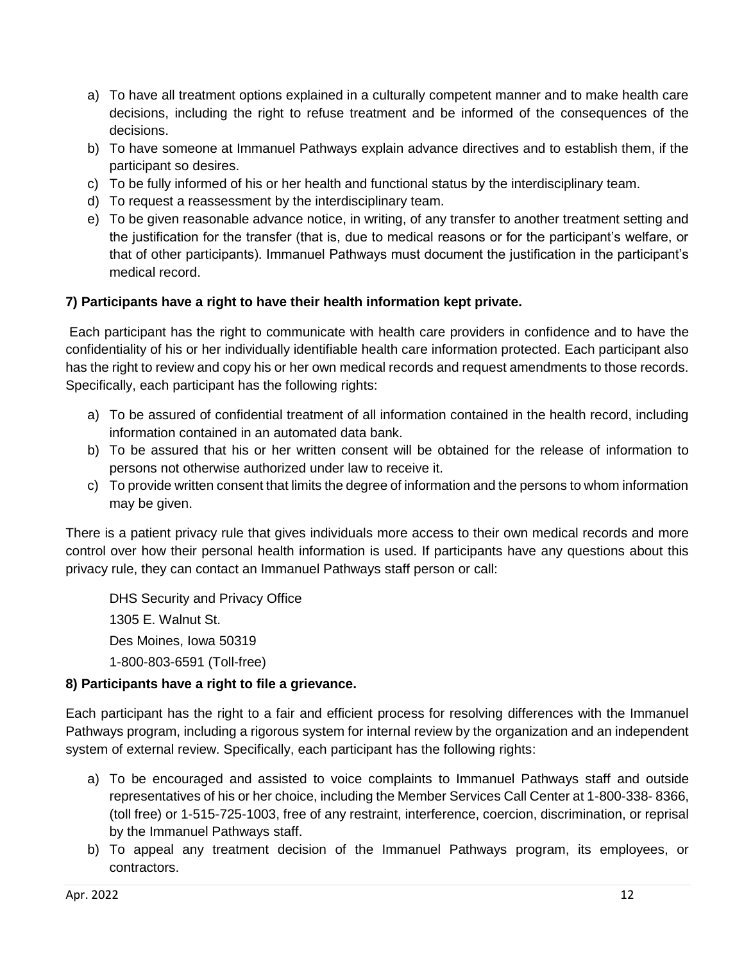- a) To have all treatment options explained in a culturally competent manner and to make health care decisions, including the right to refuse treatment and be informed of the consequences of the decisions.
- b) To have someone at Immanuel Pathways explain advance directives and to establish them, if the participant so desires.
- c) To be fully informed of his or her health and functional status by the interdisciplinary team.
- d) To request a reassessment by the interdisciplinary team.
- e) To be given reasonable advance notice, in writing, of any transfer to another treatment setting and the justification for the transfer (that is, due to medical reasons or for the participant's welfare, or that of other participants). Immanuel Pathways must document the justification in the participant's medical record.

# **7) Participants have a right to have their health information kept private.**

Each participant has the right to communicate with health care providers in confidence and to have the confidentiality of his or her individually identifiable health care information protected. Each participant also has the right to review and copy his or her own medical records and request amendments to those records. Specifically, each participant has the following rights:

- a) To be assured of confidential treatment of all information contained in the health record, including information contained in an automated data bank.
- b) To be assured that his or her written consent will be obtained for the release of information to persons not otherwise authorized under law to receive it.
- c) To provide written consent that limits the degree of information and the persons to whom information may be given.

There is a patient privacy rule that gives individuals more access to their own medical records and more control over how their personal health information is used. If participants have any questions about this privacy rule, they can contact an Immanuel Pathways staff person or call:

DHS Security and Privacy Office 1305 E. Walnut St. Des Moines, Iowa 50319 1-800-803-6591 (Toll-free)

## **8) Participants have a right to file a grievance.**

Each participant has the right to a fair and efficient process for resolving differences with the Immanuel Pathways program, including a rigorous system for internal review by the organization and an independent system of external review. Specifically, each participant has the following rights:

- a) To be encouraged and assisted to voice complaints to Immanuel Pathways staff and outside representatives of his or her choice, including the Member Services Call Center at 1-800-338- 8366, (toll free) or 1-515-725-1003, free of any restraint, interference, coercion, discrimination, or reprisal by the Immanuel Pathways staff.
- b) To appeal any treatment decision of the Immanuel Pathways program, its employees, or contractors.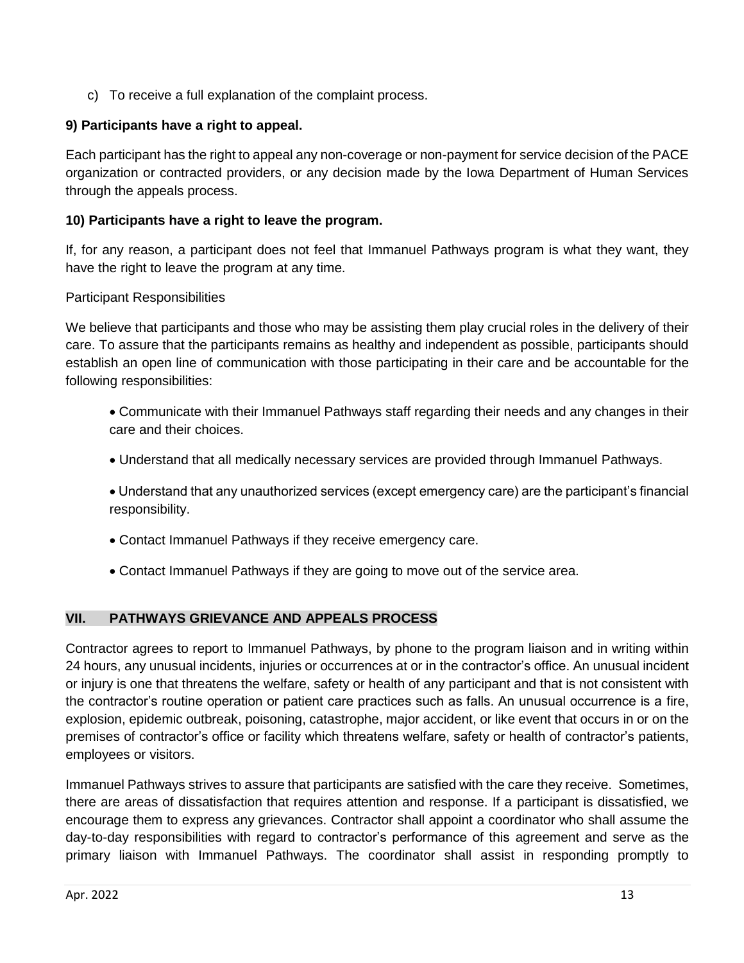c) To receive a full explanation of the complaint process.

# **9) Participants have a right to appeal.**

Each participant has the right to appeal any non-coverage or non-payment for service decision of the PACE organization or contracted providers, or any decision made by the Iowa Department of Human Services through the appeals process.

## **10) Participants have a right to leave the program.**

If, for any reason, a participant does not feel that Immanuel Pathways program is what they want, they have the right to leave the program at any time.

# Participant Responsibilities

We believe that participants and those who may be assisting them play crucial roles in the delivery of their care. To assure that the participants remains as healthy and independent as possible, participants should establish an open line of communication with those participating in their care and be accountable for the following responsibilities:

- Communicate with their Immanuel Pathways staff regarding their needs and any changes in their care and their choices.
- Understand that all medically necessary services are provided through Immanuel Pathways.
- Understand that any unauthorized services (except emergency care) are the participant's financial responsibility.
- Contact Immanuel Pathways if they receive emergency care.
- Contact Immanuel Pathways if they are going to move out of the service area.

## **VII. PATHWAYS GRIEVANCE AND APPEALS PROCESS**

Contractor agrees to report to Immanuel Pathways, by phone to the program liaison and in writing within 24 hours, any unusual incidents, injuries or occurrences at or in the contractor's office. An unusual incident or injury is one that threatens the welfare, safety or health of any participant and that is not consistent with the contractor's routine operation or patient care practices such as falls. An unusual occurrence is a fire, explosion, epidemic outbreak, poisoning, catastrophe, major accident, or like event that occurs in or on the premises of contractor's office or facility which threatens welfare, safety or health of contractor's patients, employees or visitors.

Immanuel Pathways strives to assure that participants are satisfied with the care they receive. Sometimes, there are areas of dissatisfaction that requires attention and response. If a participant is dissatisfied, we encourage them to express any grievances. Contractor shall appoint a coordinator who shall assume the day-to-day responsibilities with regard to contractor's performance of this agreement and serve as the primary liaison with Immanuel Pathways. The coordinator shall assist in responding promptly to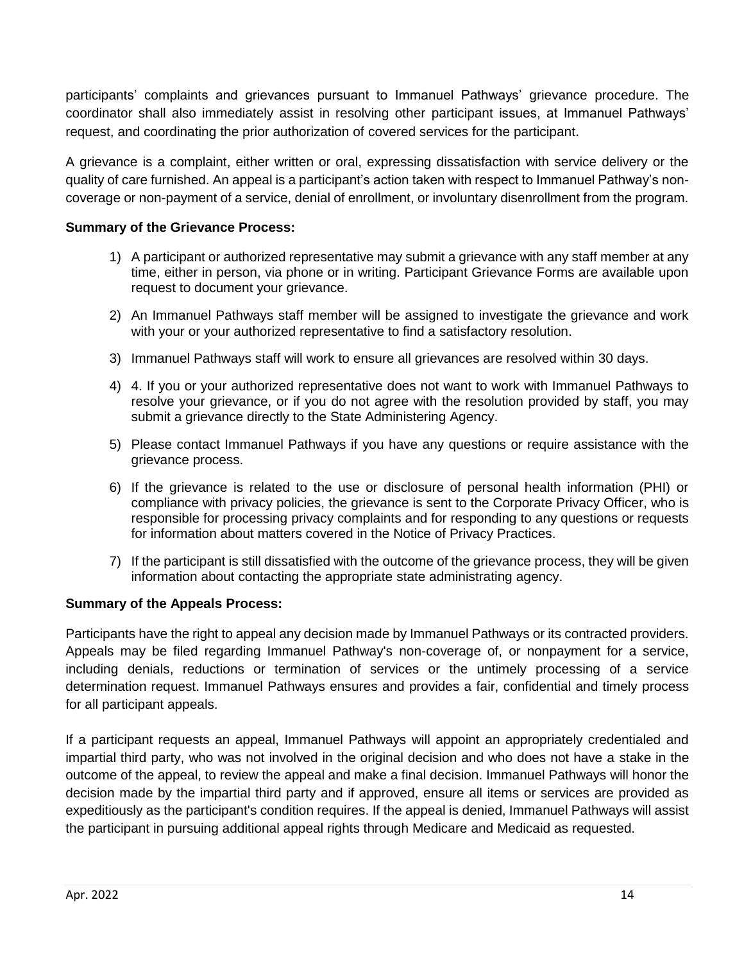participants' complaints and grievances pursuant to Immanuel Pathways' grievance procedure. The coordinator shall also immediately assist in resolving other participant issues, at Immanuel Pathways' request, and coordinating the prior authorization of covered services for the participant.

A grievance is a complaint, either written or oral, expressing dissatisfaction with service delivery or the quality of care furnished. An appeal is a participant's action taken with respect to Immanuel Pathway's noncoverage or non-payment of a service, denial of enrollment, or involuntary disenrollment from the program.

## **Summary of the Grievance Process:**

- 1) A participant or authorized representative may submit a grievance with any staff member at any time, either in person, via phone or in writing. Participant Grievance Forms are available upon request to document your grievance.
- 2) An Immanuel Pathways staff member will be assigned to investigate the grievance and work with your or your authorized representative to find a satisfactory resolution.
- 3) Immanuel Pathways staff will work to ensure all grievances are resolved within 30 days.
- 4) 4. If you or your authorized representative does not want to work with Immanuel Pathways to resolve your grievance, or if you do not agree with the resolution provided by staff, you may submit a grievance directly to the State Administering Agency.
- 5) Please contact Immanuel Pathways if you have any questions or require assistance with the grievance process.
- 6) If the grievance is related to the use or disclosure of personal health information (PHI) or compliance with privacy policies, the grievance is sent to the Corporate Privacy Officer, who is responsible for processing privacy complaints and for responding to any questions or requests for information about matters covered in the Notice of Privacy Practices.
- 7) If the participant is still dissatisfied with the outcome of the grievance process, they will be given information about contacting the appropriate state administrating agency.

#### **Summary of the Appeals Process:**

Participants have the right to appeal any decision made by Immanuel Pathways or its contracted providers. Appeals may be filed regarding Immanuel Pathway's non-coverage of, or nonpayment for a service, including denials, reductions or termination of services or the untimely processing of a service determination request. Immanuel Pathways ensures and provides a fair, confidential and timely process for all participant appeals.

If a participant requests an appeal, Immanuel Pathways will appoint an appropriately credentialed and impartial third party, who was not involved in the original decision and who does not have a stake in the outcome of the appeal, to review the appeal and make a final decision. Immanuel Pathways will honor the decision made by the impartial third party and if approved, ensure all items or services are provided as expeditiously as the participant's condition requires. If the appeal is denied, Immanuel Pathways will assist the participant in pursuing additional appeal rights through Medicare and Medicaid as requested.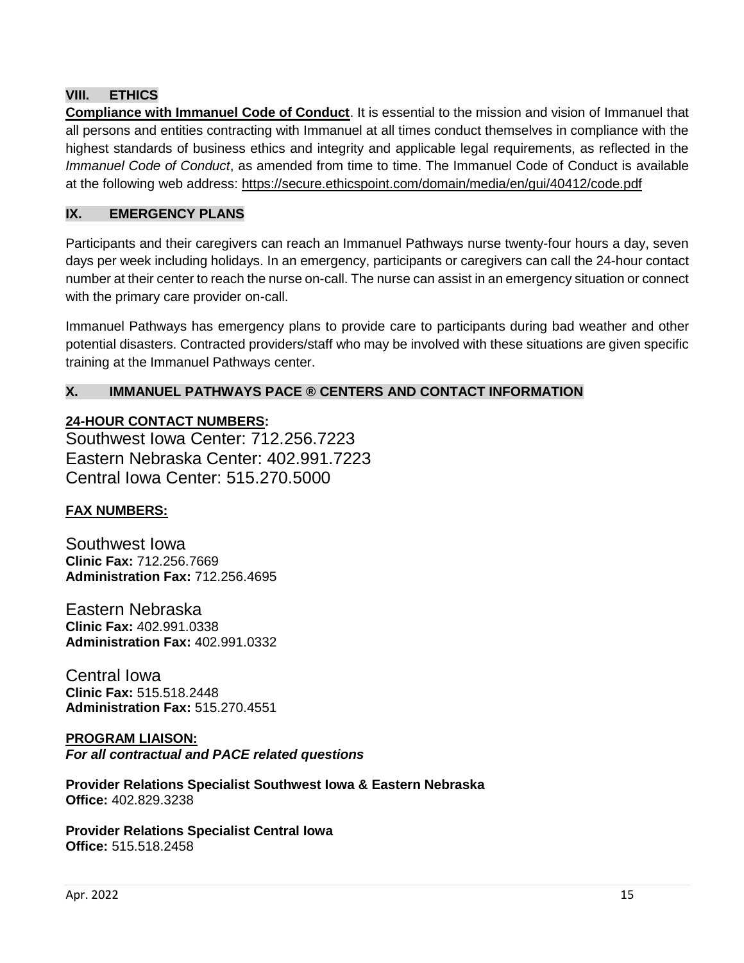## **VIII. ETHICS**

**Compliance with Immanuel Code of Conduct**. It is essential to the mission and vision of Immanuel that all persons and entities contracting with Immanuel at all times conduct themselves in compliance with the highest standards of business ethics and integrity and applicable legal requirements, as reflected in the *Immanuel Code of Conduct*, as amended from time to time. The Immanuel Code of Conduct is available at the following web address: <https://secure.ethicspoint.com/domain/media/en/gui/40412/code.pdf>

### **IX. EMERGENCY PLANS**

Participants and their caregivers can reach an Immanuel Pathways nurse twenty-four hours a day, seven days per week including holidays. In an emergency, participants or caregivers can call the 24-hour contact number at their center to reach the nurse on-call. The nurse can assist in an emergency situation or connect with the primary care provider on-call.

Immanuel Pathways has emergency plans to provide care to participants during bad weather and other potential disasters. Contracted providers/staff who may be involved with these situations are given specific training at the Immanuel Pathways center.

## **X. IMMANUEL PATHWAYS PACE ® CENTERS AND CONTACT INFORMATION**

**24-HOUR CONTACT NUMBERS:**

Southwest Iowa Center: 712.256.7223 Eastern Nebraska Center: 402.991.7223 Central Iowa Center: 515.270.5000

#### **FAX NUMBERS:**

Southwest Iowa **Clinic Fax:** 712.256.7669 **Administration Fax:** 712.256.4695

Eastern Nebraska **Clinic Fax:** 402.991.0338 **Administration Fax:** 402.991.0332

Central Iowa **Clinic Fax:** 515.518.2448 **Administration Fax:** 515.270.4551

#### **PROGRAM LIAISON:** *For all contractual and PACE related questions*

**Provider Relations Specialist Southwest Iowa & Eastern Nebraska Office:** 402.829.3238

**Provider Relations Specialist Central Iowa Office:** 515.518.2458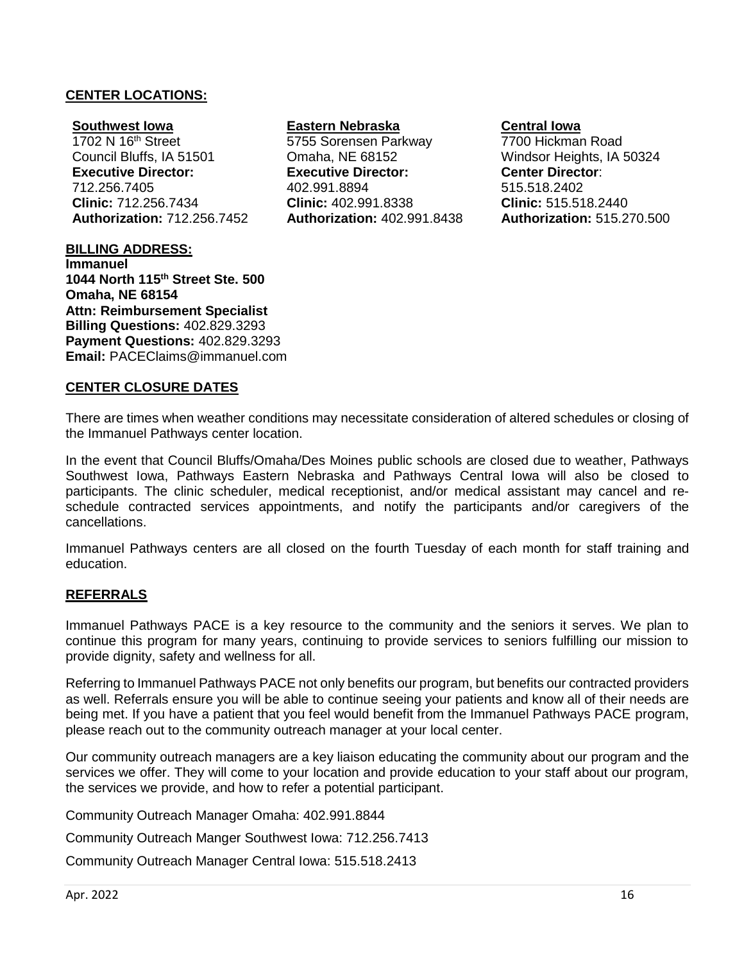#### **CENTER LOCATIONS:**

#### **Southwest Iowa**

1702 N 16<sup>th</sup> Street Council Bluffs, IA 51501 **Executive Director:** 712.256.7405 **Clinic:** 712.256.7434 **Authorization:** 712.256.7452

#### **BILLING ADDRESS:**

**Immanuel 1044 North 115th Street Ste. 500 Omaha, NE 68154 Attn: Reimbursement Specialist Billing Questions:** 402.829.3293 **Payment Questions:** 402.829.3293 **Email:** [PACEClaims@immanuel.com](mailto:PACEClaims@Immanuel.com)

**CENTER CLOSURE DATES**

#### **Eastern Nebraska**

5755 Sorensen Parkway Omaha, NE 68152 **Executive Director:** 402.991.8894 **Clinic:** 402.991.8338 **Authorization:** 402.991.8438

# **Central Iowa**

7700 Hickman Road Windsor Heights, IA 50324 **Center Director**: 515.518.2402 **Clinic:** 515.518.2440 **Authorization:** 515.270.500

There are times when weather conditions may necessitate consideration of altered schedules or closing of the Immanuel Pathways center location.

In the event that Council Bluffs/Omaha/Des Moines public schools are closed due to weather, Pathways Southwest Iowa, Pathways Eastern Nebraska and Pathways Central Iowa will also be closed to participants. The clinic scheduler, medical receptionist, and/or medical assistant may cancel and reschedule contracted services appointments, and notify the participants and/or caregivers of the cancellations.

Immanuel Pathways centers are all closed on the fourth Tuesday of each month for staff training and education.

#### **REFERRALS**

Immanuel Pathways PACE is a key resource to the community and the seniors it serves. We plan to continue this program for many years, continuing to provide services to seniors fulfilling our mission to provide dignity, safety and wellness for all.

Referring to Immanuel Pathways PACE not only benefits our program, but benefits our contracted providers as well. Referrals ensure you will be able to continue seeing your patients and know all of their needs are being met. If you have a patient that you feel would benefit from the Immanuel Pathways PACE program, please reach out to the community outreach manager at your local center.

Our community outreach managers are a key liaison educating the community about our program and the services we offer. They will come to your location and provide education to your staff about our program, the services we provide, and how to refer a potential participant.

Community Outreach Manager Omaha: 402.991.8844

Community Outreach Manger Southwest Iowa: 712.256.7413

Community Outreach Manager Central Iowa: 515.518.2413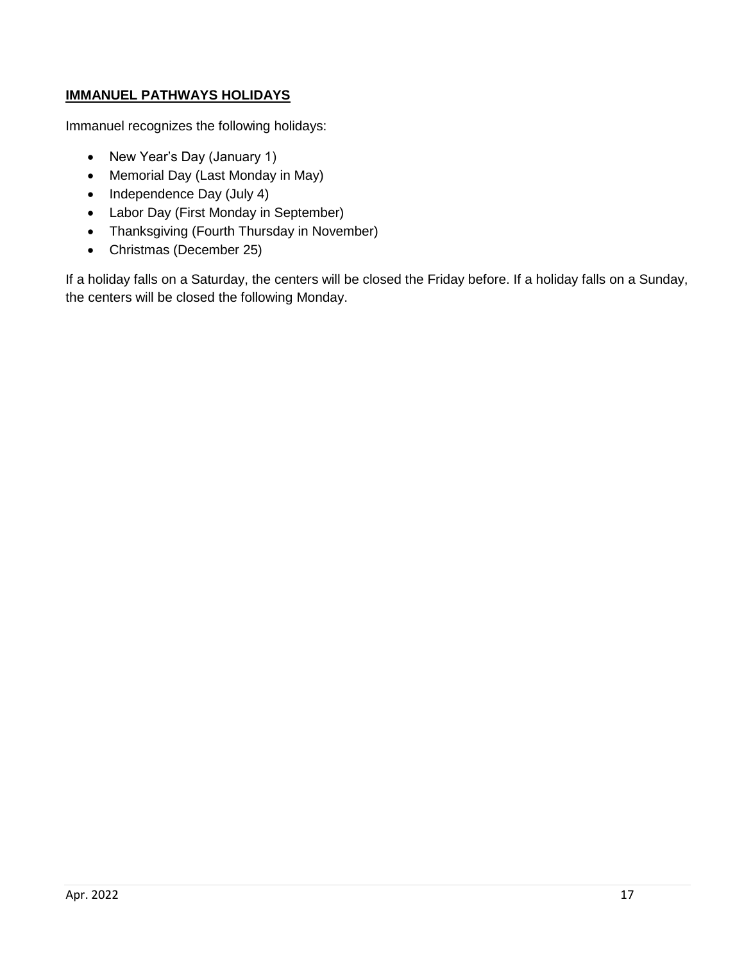# **IMMANUEL PATHWAYS HOLIDAYS**

Immanuel recognizes the following holidays:

- New Year's Day (January 1)
- Memorial Day (Last Monday in May)
- Independence Day (July 4)
- Labor Day (First Monday in September)
- Thanksgiving (Fourth Thursday in November)
- Christmas (December 25)

If a holiday falls on a Saturday, the centers will be closed the Friday before. If a holiday falls on a Sunday, the centers will be closed the following Monday.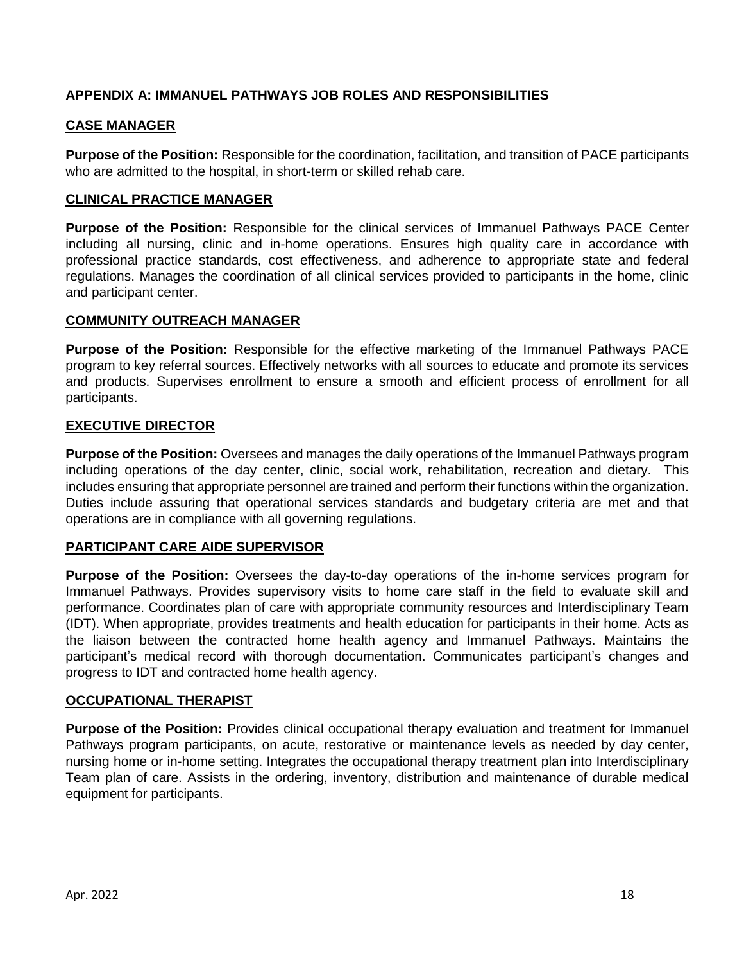## **APPENDIX A: IMMANUEL PATHWAYS JOB ROLES AND RESPONSIBILITIES**

## **CASE MANAGER**

**Purpose of the Position:** Responsible for the coordination, facilitation, and transition of PACE participants who are admitted to the hospital, in short-term or skilled rehab care.

## **CLINICAL PRACTICE MANAGER**

**Purpose of the Position:** Responsible for the clinical services of Immanuel Pathways PACE Center including all nursing, clinic and in-home operations. Ensures high quality care in accordance with professional practice standards, cost effectiveness, and adherence to appropriate state and federal regulations. Manages the coordination of all clinical services provided to participants in the home, clinic and participant center.

#### **COMMUNITY OUTREACH MANAGER**

**Purpose of the Position:** Responsible for the effective marketing of the Immanuel Pathways PACE program to key referral sources. Effectively networks with all sources to educate and promote its services and products. Supervises enrollment to ensure a smooth and efficient process of enrollment for all participants.

### **EXECUTIVE DIRECTOR**

**Purpose of the Position:** Oversees and manages the daily operations of the Immanuel Pathways program including operations of the day center, clinic, social work, rehabilitation, recreation and dietary. This includes ensuring that appropriate personnel are trained and perform their functions within the organization. Duties include assuring that operational services standards and budgetary criteria are met and that operations are in compliance with all governing regulations.

## **PARTICIPANT CARE AIDE SUPERVISOR**

**Purpose of the Position:** Oversees the day-to-day operations of the in-home services program for Immanuel Pathways. Provides supervisory visits to home care staff in the field to evaluate skill and performance. Coordinates plan of care with appropriate community resources and Interdisciplinary Team (IDT). When appropriate, provides treatments and health education for participants in their home. Acts as the liaison between the contracted home health agency and Immanuel Pathways. Maintains the participant's medical record with thorough documentation. Communicates participant's changes and progress to IDT and contracted home health agency.

#### **OCCUPATIONAL THERAPIST**

**Purpose of the Position:** Provides clinical occupational therapy evaluation and treatment for Immanuel Pathways program participants, on acute, restorative or maintenance levels as needed by day center, nursing home or in-home setting. Integrates the occupational therapy treatment plan into Interdisciplinary Team plan of care. Assists in the ordering, inventory, distribution and maintenance of durable medical equipment for participants.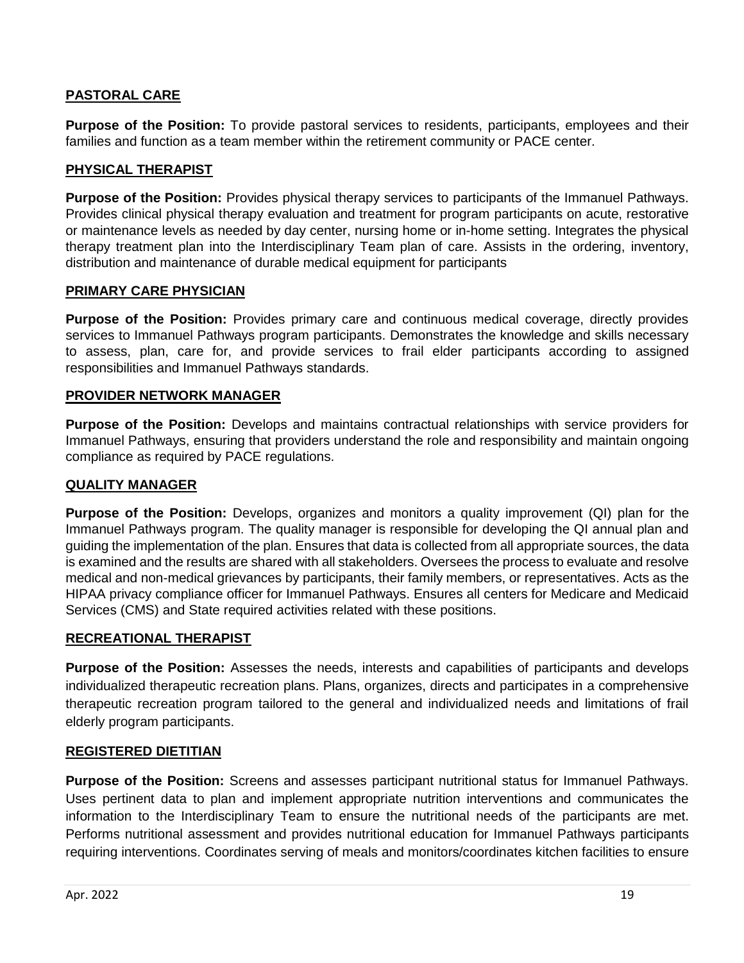## **PASTORAL CARE**

**Purpose of the Position:** To provide pastoral services to residents, participants, employees and their families and function as a team member within the retirement community or PACE center.

## **PHYSICAL THERAPIST**

**Purpose of the Position:** Provides physical therapy services to participants of the Immanuel Pathways. Provides clinical physical therapy evaluation and treatment for program participants on acute, restorative or maintenance levels as needed by day center, nursing home or in-home setting. Integrates the physical therapy treatment plan into the Interdisciplinary Team plan of care. Assists in the ordering, inventory, distribution and maintenance of durable medical equipment for participants

### **PRIMARY CARE PHYSICIAN**

**Purpose of the Position:** Provides primary care and continuous medical coverage, directly provides services to Immanuel Pathways program participants. Demonstrates the knowledge and skills necessary to assess, plan, care for, and provide services to frail elder participants according to assigned responsibilities and Immanuel Pathways standards.

#### **PROVIDER NETWORK MANAGER**

**Purpose of the Position:** Develops and maintains contractual relationships with service providers for Immanuel Pathways, ensuring that providers understand the role and responsibility and maintain ongoing compliance as required by PACE regulations.

#### **QUALITY MANAGER**

**Purpose of the Position:** Develops, organizes and monitors a quality improvement (QI) plan for the Immanuel Pathways program. The quality manager is responsible for developing the QI annual plan and guiding the implementation of the plan. Ensures that data is collected from all appropriate sources, the data is examined and the results are shared with all stakeholders. Oversees the process to evaluate and resolve medical and non-medical grievances by participants, their family members, or representatives. Acts as the HIPAA privacy compliance officer for Immanuel Pathways. Ensures all centers for Medicare and Medicaid Services (CMS) and State required activities related with these positions.

#### **RECREATIONAL THERAPIST**

**Purpose of the Position:** Assesses the needs, interests and capabilities of participants and develops individualized therapeutic recreation plans. Plans, organizes, directs and participates in a comprehensive therapeutic recreation program tailored to the general and individualized needs and limitations of frail elderly program participants.

#### **REGISTERED DIETITIAN**

**Purpose of the Position:** Screens and assesses participant nutritional status for Immanuel Pathways. Uses pertinent data to plan and implement appropriate nutrition interventions and communicates the information to the Interdisciplinary Team to ensure the nutritional needs of the participants are met. Performs nutritional assessment and provides nutritional education for Immanuel Pathways participants requiring interventions. Coordinates serving of meals and monitors/coordinates kitchen facilities to ensure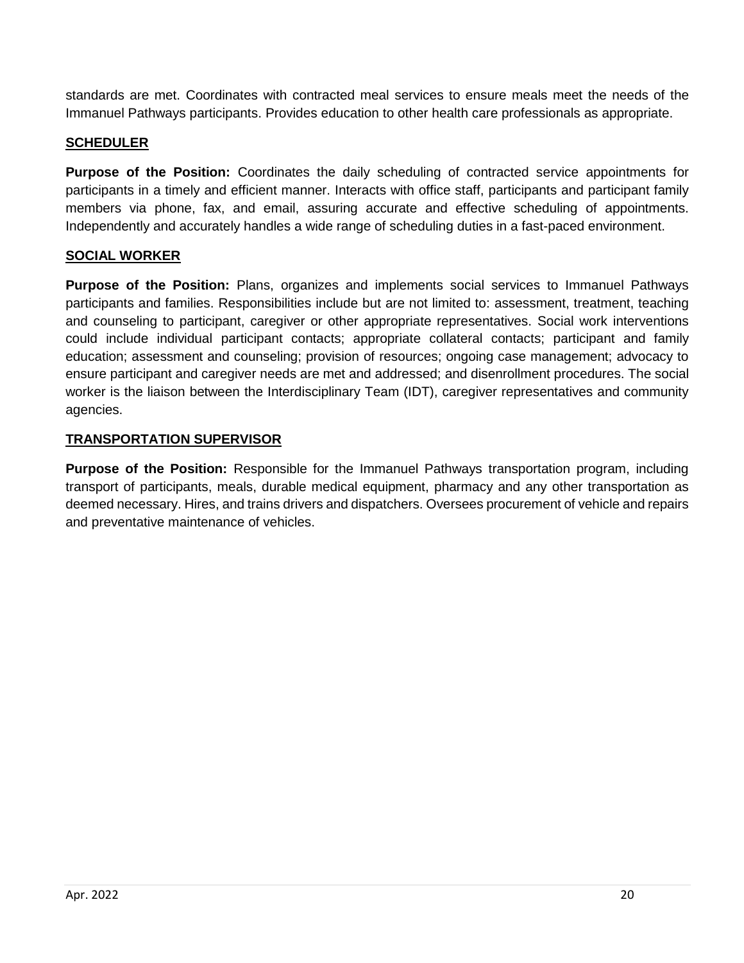standards are met. Coordinates with contracted meal services to ensure meals meet the needs of the Immanuel Pathways participants. Provides education to other health care professionals as appropriate.

## **SCHEDULER**

**Purpose of the Position:** Coordinates the daily scheduling of contracted service appointments for participants in a timely and efficient manner. Interacts with office staff, participants and participant family members via phone, fax, and email, assuring accurate and effective scheduling of appointments. Independently and accurately handles a wide range of scheduling duties in a fast-paced environment.

# **SOCIAL WORKER**

**Purpose of the Position:** Plans, organizes and implements social services to Immanuel Pathways participants and families. Responsibilities include but are not limited to: assessment, treatment, teaching and counseling to participant, caregiver or other appropriate representatives. Social work interventions could include individual participant contacts; appropriate collateral contacts; participant and family education; assessment and counseling; provision of resources; ongoing case management; advocacy to ensure participant and caregiver needs are met and addressed; and disenrollment procedures. The social worker is the liaison between the Interdisciplinary Team (IDT), caregiver representatives and community agencies.

## **TRANSPORTATION SUPERVISOR**

**Purpose of the Position:** Responsible for the Immanuel Pathways transportation program, including transport of participants, meals, durable medical equipment, pharmacy and any other transportation as deemed necessary. Hires, and trains drivers and dispatchers. Oversees procurement of vehicle and repairs and preventative maintenance of vehicles.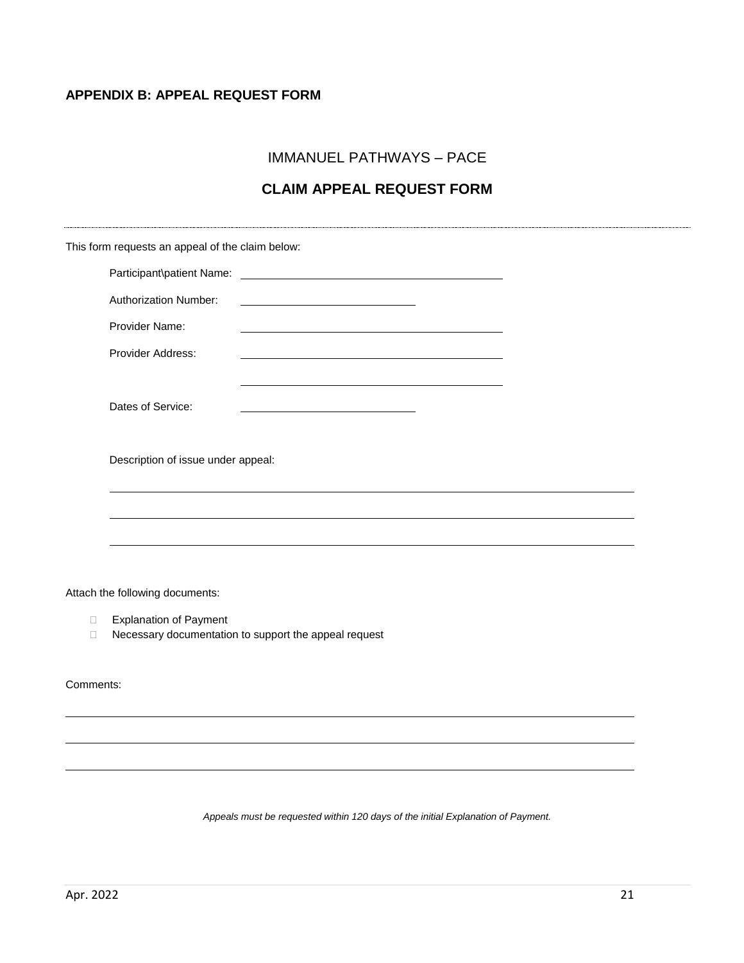### **APPENDIX B: APPEAL REQUEST FORM**

IMMANUEL PATHWAYS – PACE

# **CLAIM APPEAL REQUEST FORM**

| This form requests an appeal of the claim below: |                                                         |  |
|--------------------------------------------------|---------------------------------------------------------|--|
|                                                  |                                                         |  |
| <b>Authorization Number:</b>                     | <u> 1989 - Johann Barbara, martin amerikan basar da</u> |  |
| Provider Name:                                   |                                                         |  |
| Provider Address:                                |                                                         |  |
|                                                  |                                                         |  |
| Dates of Service:                                |                                                         |  |
|                                                  |                                                         |  |
| Description of issue under appeal:               |                                                         |  |
|                                                  |                                                         |  |
|                                                  |                                                         |  |
|                                                  |                                                         |  |

Attach the following documents:

- Explanation of Payment
- D Necessary documentation to support the appeal request

Comments:

*Appeals must be requested within 120 days of the initial Explanation of Payment.*